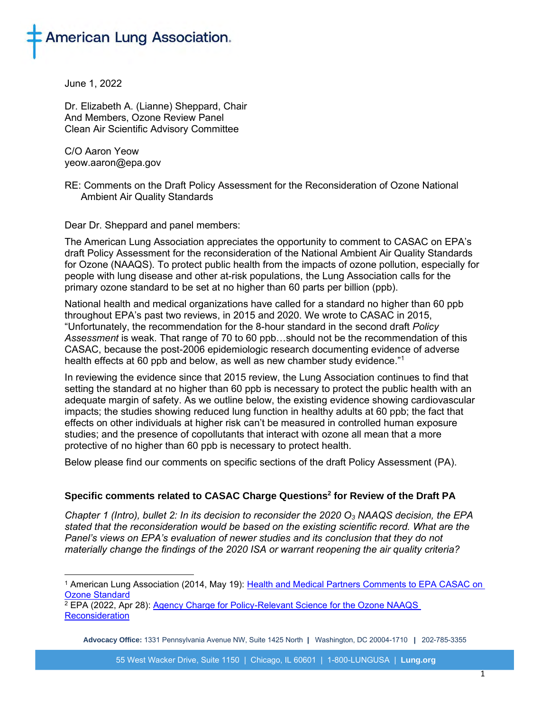

June 1, 2022

Dr. Elizabeth A. (Lianne) Sheppard, Chair And Members, Ozone Review Panel Clean Air Scientific Advisory Committee

C/O Aaron Yeow yeow.aaron@epa.gov

RE: Comments on the Draft Policy Assessment for the Reconsideration of Ozone National Ambient Air Quality Standards

Dear Dr. Sheppard and panel members:

The American Lung Association appreciates the opportunity to comment to CASAC on EPA's draft Policy Assessment for the reconsideration of the National Ambient Air Quality Standards for Ozone (NAAQS). To protect public health from the impacts of ozone pollution, especially for people with lung disease and other at-risk populations, the Lung Association calls for the primary ozone standard to be set at no higher than 60 parts per billion (ppb).

National health and medical organizations have called for a standard no higher than 60 ppb throughout EPA's past two reviews, in 2015 and 2020. We wrote to CASAC in 2015, "Unfortunately, the recommendation for the 8-hour standard in the second draft *Policy Assessment* is weak. That range of 70 to 60 ppb…should not be the recommendation of this CASAC, because the post-2006 epidemiologic research documenting evidence of adverse health effects at 60 ppb and below, as well as new chamber study evidence."<sup>1</sup>

In reviewing the evidence since that 2015 review, the Lung Association continues to find that setting the standard at no higher than 60 ppb is necessary to protect the public health with an adequate margin of safety. As we outline below, the existing evidence showing cardiovascular impacts; the studies showing reduced lung function in healthy adults at 60 ppb; the fact that effects on other individuals at higher risk can't be measured in controlled human exposure studies; and the presence of copollutants that interact with ozone all mean that a more protective of no higher than 60 ppb is necessary to protect health.

Below please find our comments on specific sections of the draft Policy Assessment (PA).

## **Specific comments related to CASAC Charge Questions<sup>2</sup> for Review of the Draft PA**

*Chapter 1 (Intro), bullet 2: In its decision to reconsider the 2020 O<sup>3</sup> NAAQS decision, the EPA stated that the reconsideration would be based on the existing scientific record. What are the Panel's views on EPA's evaluation of newer studies and its conclusion that they do not materially change the findings of the 2020 ISA or warrant reopening the air quality criteria?*

<sup>1</sup> American Lung Association (2014, May 19): [Health and Medical Partners Comments to EPA CASAC on](https://www.lung.org/getmedia/036c61e8-b13c-4c59-bdbb-aae8be97e668/health-medical-org-letter-casac-o3-naaqs.pdf.pdf)  [Ozone Standard](https://www.lung.org/getmedia/036c61e8-b13c-4c59-bdbb-aae8be97e668/health-medical-org-letter-casac-o3-naaqs.pdf.pdf)

<sup>2</sup> EPA (2022, Apr 28): [Agency Charge for Policy-Relevant Science for the Ozone NAAQS](https://casac.epa.gov/ords/sab/apex_util.get_blob?s=17301799935332&a=113&c=38649710232950956&p=19&k1=2614&k2=&ck=cxFXrcX0vemHQ0AoZISq4y9K-9EJmrIEzxvXAVAGMWczBX1bs3KLykpPJvegFeVALK9OZhcsQon0Eden_U5Obg&rt=IR)  **[Reconsideration](https://casac.epa.gov/ords/sab/apex_util.get_blob?s=17301799935332&a=113&c=38649710232950956&p=19&k1=2614&k2=&ck=cxFXrcX0vemHQ0AoZISq4y9K-9EJmrIEzxvXAVAGMWczBX1bs3KLykpPJvegFeVALK9OZhcsQon0Eden_U5Obg&rt=IR)** 

**Advocacy Office:** 1331 Pennsylvania Avenue NW, Suite 1425 North **|** Washington, DC 20004-1710 **|** 202-785-3355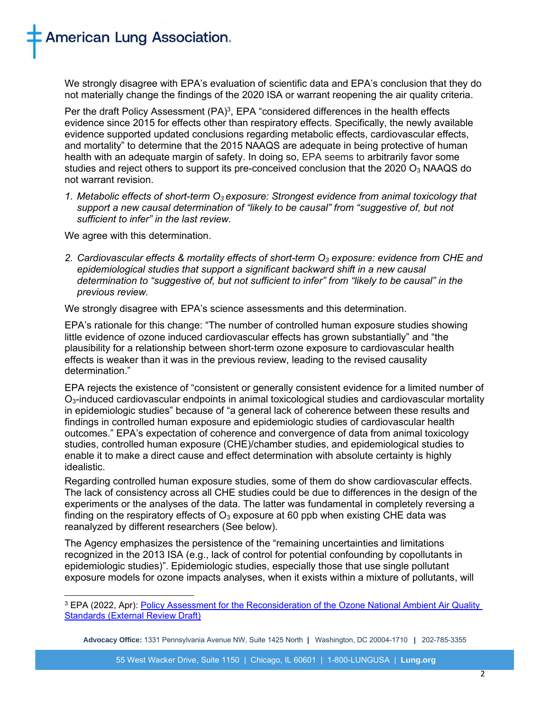

We strongly disagree with EPA's evaluation of scientific data and EPA's conclusion that they do not materially change the findings of the 2020 ISA or warrant reopening the air quality criteria.

Per the draft Policy Assessment (PA)<sup>3</sup>, EPA "considered differences in the health effects evidence since 2015 for effects other than respiratory effects. Specifically, the newly available evidence supported updated conclusions regarding metabolic effects, cardiovascular effects, and mortality" to determine that the 2015 NAAQS are adequate in being protective of human health with an adequate margin of safety. In doing so, EPA seems to arbitrarily favor some studies and reject others to support its pre-conceived conclusion that the 2020  $O<sub>3</sub>$  NAAQS do not warrant revision.

*1. Metabolic effects of short-term O3 exposure: Strongest evidence from animal toxicology that support a new causal determination of "likely to be causal" from "suggestive of, but not sufficient to infer" in the last review.*

We agree with this determination.

*2. Cardiovascular effects & mortality effects of short-term O<sup>3</sup> exposure: evidence from CHE and epidemiological studies that support a significant backward shift in a new causal determination to "suggestive of, but not sufficient to infer" from "likely to be causal" in the previous review.*

We strongly disagree with EPA's science assessments and this determination.

EPA's rationale for this change: "The number of controlled human exposure studies showing little evidence of ozone induced cardiovascular effects has grown substantially" and "the plausibility for a relationship between short-term ozone exposure to cardiovascular health effects is weaker than it was in the previous review, leading to the revised causality determination."

EPA rejects the existence of "consistent or generally consistent evidence for a limited number of O3-induced cardiovascular endpoints in animal toxicological studies and cardiovascular mortality in epidemiologic studies" because of "a general lack of coherence between these results and findings in controlled human exposure and epidemiologic studies of cardiovascular health outcomes." EPA's expectation of coherence and convergence of data from animal toxicology studies, controlled human exposure (CHE)/chamber studies, and epidemiological studies to enable it to make a direct cause and effect determination with absolute certainty is highly idealistic.

Regarding controlled human exposure studies, some of them do show cardiovascular effects. The lack of consistency across all CHE studies could be due to differences in the design of the experiments or the analyses of the data. The latter was fundamental in completely reversing a finding on the respiratory effects of  $O_3$  exposure at 60 ppb when existing CHE data was reanalyzed by different researchers (See below).

The Agency emphasizes the persistence of the "remaining uncertainties and limitations recognized in the 2013 ISA (e.g., lack of control for potential confounding by copollutants in epidemiologic studies)". Epidemiologic studies, especially those that use single pollutant exposure models for ozone impacts analyses, when it exists within a mixture of pollutants, will

<sup>3</sup> EPA (2022, Apr): [Policy Assessment for the Reconsideration of the Ozone National Ambient Air Quality](https://casac.epa.gov/ords/sab/apex_util.get_blob?s=17301799935332&a=113&c=38573346139779440&p=19&k1=2477&k2=&ck=xTDE_l_o83V-zcISvUbqVBvtTkfMxs4Lek15R5IJz1CWKB5rY4hK661H5fR_hxsftZ3TecqR1QFSARYyCQk9gw&rt=IR)  [Standards \(External Review Draft\)](https://casac.epa.gov/ords/sab/apex_util.get_blob?s=17301799935332&a=113&c=38573346139779440&p=19&k1=2477&k2=&ck=xTDE_l_o83V-zcISvUbqVBvtTkfMxs4Lek15R5IJz1CWKB5rY4hK661H5fR_hxsftZ3TecqR1QFSARYyCQk9gw&rt=IR)

**Advocacy Office:** 1331 Pennsylvania Avenue NW, Suite 1425 North **|** Washington, DC 20004-1710 **|** 202-785-3355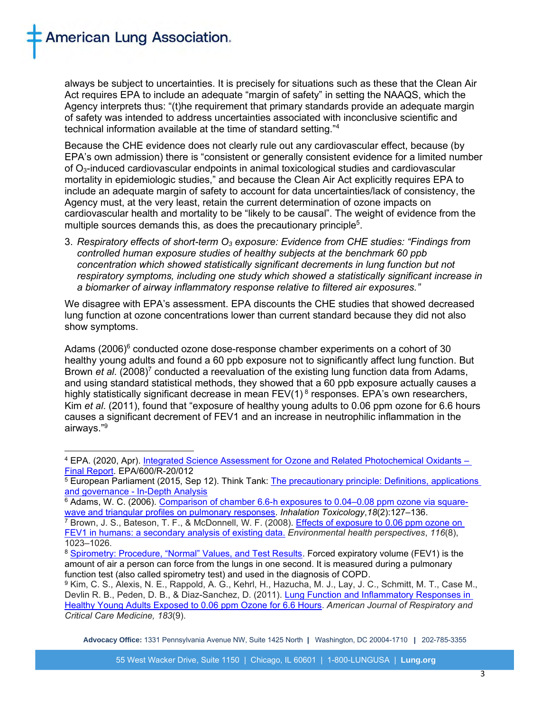always be subject to uncertainties. It is precisely for situations such as these that the Clean Air Act requires EPA to include an adequate "margin of safety" in setting the NAAQS, which the Agency interprets thus: "(t)he requirement that primary standards provide an adequate margin of safety was intended to address uncertainties associated with inconclusive scientific and technical information available at the time of standard setting."<sup>4</sup>

Because the CHE evidence does not clearly rule out any cardiovascular effect, because (by EPA's own admission) there is "consistent or generally consistent evidence for a limited number of O3-induced cardiovascular endpoints in animal toxicological studies and cardiovascular mortality in epidemiologic studies," and because the Clean Air Act explicitly requires EPA to include an adequate margin of safety to account for data uncertainties/lack of consistency, the Agency must, at the very least, retain the current determination of ozone impacts on cardiovascular health and mortality to be "likely to be causal". The weight of evidence from the multiple sources demands this, as does the precautionary principle<sup>5</sup>.

3. *Respiratory effects of short-term O<sup>3</sup> exposure: Evidence from CHE studies: "Findings from controlled human exposure studies of healthy subjects at the benchmark 60 ppb concentration which showed statistically significant decrements in lung function but not respiratory symptoms, including one study which showed a statistically significant increase in a biomarker of airway inflammatory response relative to filtered air exposures."*

We disagree with EPA's assessment. EPA discounts the CHE studies that showed decreased lung function at ozone concentrations lower than current standard because they did not also show symptoms.

Adams  $(2006)^6$  conducted ozone dose-response chamber experiments on a cohort of 30 healthy young adults and found a 60 ppb exposure not to significantly affect lung function. But Brown *et al.* (2008)<sup>7</sup> conducted a reevaluation of the existing lung function data from Adams, and using standard statistical methods, they showed that a 60 ppb exposure actually causes a highly statistically significant decrease in mean  $FEV(1)^{8}$  responses. EPA's own researchers, Kim *et al*. (2011), found that "exposure of healthy young adults to 0.06 ppm ozone for 6.6 hours causes a significant decrement of FEV1 and an increase in neutrophilic inflammation in the airways." 9

<sup>6</sup> Adams, W. C. (2006). [Comparison](https://pubmed.ncbi.nlm.nih.gov/16393927/) of chamber 6.6-h exposures to 0.04–0.08 ppm ozone via squarewave and triangular profiles on pulmonary [responses.](https://pubmed.ncbi.nlm.nih.gov/16393927/) *Inhalation Toxicology*,*18*(2):127–136.

**Advocacy Office:** 1331 Pennsylvania Avenue NW, Suite 1425 North **|** Washington, DC 20004-1710 **|** 202-785-3355

<sup>4</sup> EPA. (2020, Apr). [Integrated Science Assessment for Ozone and Related Photochemical Oxidants –](https://ordspub.epa.gov/ords/eims/eimscomm.getfile?p_download_id=540022) [Final Report.](https://ordspub.epa.gov/ords/eims/eimscomm.getfile?p_download_id=540022) EPA/600/R-20/012

<sup>5</sup> European Parliament (2015, Sep 12). Think Tank: The [precautionary](https://www.europarl.europa.eu/thinktank/en/document/EPRS_IDA(2015)573876#:~:text=The%20precautionary%20principle%20enables%20decision,and%20the%20stakes%20are%20high) principle: Definitions, applications and [governance](https://www.europarl.europa.eu/thinktank/en/document/EPRS_IDA(2015)573876#:~:text=The%20precautionary%20principle%20enables%20decision,and%20the%20stakes%20are%20high) - In-Depth Analysis

<sup>&</sup>lt;sup>7</sup> Brown, J. S., Bateson, T. F., & McDonnell, W. F. (2008). Effects of [exposure](https://doi.org/10.1289/ehp.11396) to 0.06 ppm ozone on FEV1 in humans: a [secondary](https://doi.org/10.1289/ehp.11396) analysis of existing data. *Environmental health perspectives*, *116*(8), 1023–1026.

<sup>8</sup> [Spirometry: Procedure, "Normal" Values, and Test Results.](https://www.healthline.com/health/spirometry#:~:text=FEV%20is%20short%20for%20forced,connected%20to%20a%20spirometer%20machine.) Forced expiratory volume (FEV1) is the amount of air a person can force from the lungs in one second. It is measured during a pulmonary function test (also called spirometry test) and used in the diagnosis of COPD.

<sup>9</sup> Kim, C. S., Alexis, N. E., Rappold, A. G., Kehrl, H., Hazucha, M. J., Lay, J. C., Schmitt, M. T., Case M., Devlin R. B., Peden, D. B., & Diaz-Sanchez, D. (2011). Lung Function and [Inflammatory](https://doi.org/10.1164/rccm.201011-1813OC) Responses in Healthy Young Adults [Exposed](https://doi.org/10.1164/rccm.201011-1813OC) to 0.06 ppm Ozone for 6.6 Hours. *American Journal of Respiratory and Critical Care Medicine, 183*(9).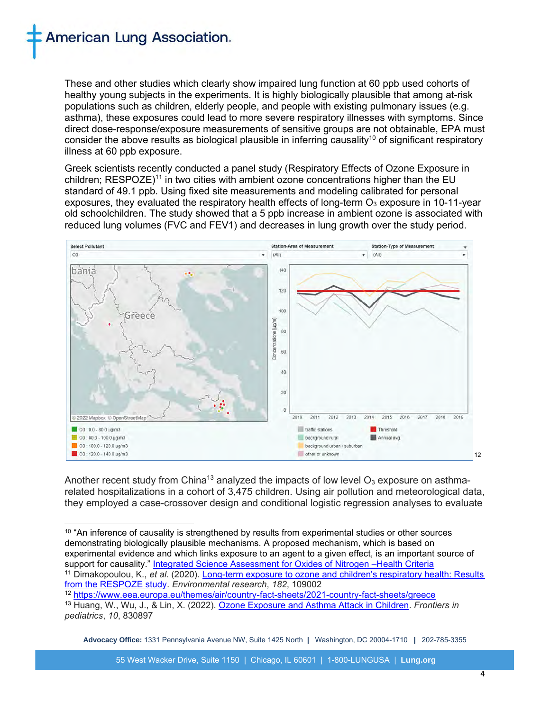## **American Lung Association.**

These and other studies which clearly show impaired lung function at 60 ppb used cohorts of healthy young subjects in the experiments. It is highly biologically plausible that among at-risk populations such as children, elderly people, and people with existing pulmonary issues (e.g. asthma), these exposures could lead to more severe respiratory illnesses with symptoms. Since direct dose-response/exposure measurements of sensitive groups are not obtainable, EPA must consider the above results as biological plausible in inferring causality<sup>10</sup> of significant respiratory illness at 60 ppb exposure.

Greek scientists recently conducted a panel study (Respiratory Effects of Ozone Exposure in children; RESPOZE)<sup>11</sup> in two cities with ambient ozone concentrations higher than the EU standard of 49.1 ppb. Using fixed site measurements and modeling calibrated for personal exposures, they evaluated the respiratory health effects of long-term  $O_3$  exposure in 10-11-year old schoolchildren. The study showed that a 5 ppb increase in ambient ozone is associated with reduced lung volumes (FVC and FEV1) and decreases in lung growth over the study period.



Another recent study from China<sup>13</sup> analyzed the impacts of low level  $O_3$  exposure on asthmarelated hospitalizations in a cohort of 3,475 children. Using air pollution and meteorological data, they employed a case-crossover design and conditional logistic regression analyses to evaluate

 $10$  "An inference of causality is strengthened by results from experimental studies or other sources demonstrating biologically plausible mechanisms. A proposed mechanism, which is based on experimental evidence and which links exposure to an agent to a given effect, is an important source of support for causality." [Integrated Science Assessment for Oxides of Nitrogen –Health Criteria](http://ofmpub.epa.gov/eims/eimscomm.getfile?p_download_id=526855) <sup>11</sup> Dimakopoulou, K., *et al*. (2020). [Long-term exposure to ozone and children's respiratory health: Results](https://doi.org/10.1016/j.envres.2019.109002)  [from the RESPOZE study.](https://doi.org/10.1016/j.envres.2019.109002) *Environmental research*, *182*, 109002

<sup>12</sup> <https://www.eea.europa.eu/themes/air/country-fact-sheets/2021-country-fact-sheets/greece> <sup>13</sup> Huang, W., Wu, J., & Lin, X. (2022). [Ozone Exposure and Asthma Attack in Children.](https://doi.org/10.3389/fped.2022.830897) *Frontiers in pediatrics*, *10*, 830897

**Advocacy Office:** 1331 Pennsylvania Avenue NW, Suite 1425 North **|** Washington, DC 20004-1710 **|** 202-785-3355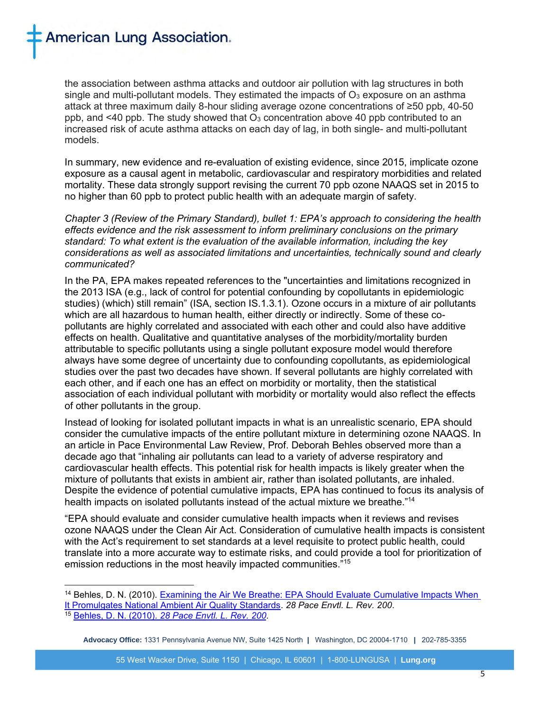**American Lung Association.** 

the association between asthma attacks and outdoor air pollution with lag structures in both single and multi-pollutant models. They estimated the impacts of  $O<sub>3</sub>$  exposure on an asthma attack at three maximum daily 8-hour sliding average ozone concentrations of ≥50 ppb, 40-50 ppb, and  $\leq 40$  ppb. The study showed that  $O_3$  concentration above 40 ppb contributed to an increased risk of acute asthma attacks on each day of lag, in both single- and multi-pollutant models.

In summary, new evidence and re-evaluation of existing evidence, since 2015, implicate ozone exposure as a causal agent in metabolic, cardiovascular and respiratory morbidities and related mortality. These data strongly support revising the current 70 ppb ozone NAAQS set in 2015 to no higher than 60 ppb to protect public health with an adequate margin of safety.

*Chapter 3 (Review of the Primary Standard), bullet 1: EPA's approach to considering the health effects evidence and the risk assessment to inform preliminary conclusions on the primary standard: To what extent is the evaluation of the available information, including the key considerations as well as associated limitations and uncertainties, technically sound and clearly communicated?*

In the PA, EPA makes repeated references to the "uncertainties and limitations recognized in the 2013 ISA (e.g., lack of control for potential confounding by copollutants in epidemiologic studies) (which) still remain" (ISA, section IS.1.3.1). Ozone occurs in a mixture of air pollutants which are all hazardous to human health, either directly or indirectly. Some of these copollutants are highly correlated and associated with each other and could also have additive effects on health. Qualitative and quantitative analyses of the morbidity/mortality burden attributable to specific pollutants using a single pollutant exposure model would therefore always have some degree of uncertainty due to confounding copollutants, as epidemiological studies over the past two decades have shown. If several pollutants are highly correlated with each other, and if each one has an effect on morbidity or mortality, then the statistical association of each individual pollutant with morbidity or mortality would also reflect the effects of other pollutants in the group.

Instead of looking for isolated pollutant impacts in what is an unrealistic scenario, EPA should consider the cumulative impacts of the entire pollutant mixture in determining ozone NAAQS. In an article in Pace Environmental Law Review, Prof. Deborah Behles observed more than a decade ago that "inhaling air pollutants can lead to a variety of adverse respiratory and cardiovascular health effects. This potential risk for health impacts is likely greater when the mixture of pollutants that exists in ambient air, rather than isolated pollutants, are inhaled. Despite the evidence of potential cumulative impacts, EPA has continued to focus its analysis of health impacts on isolated pollutants instead of the actual mixture we breathe."<sup>14</sup>

"EPA should evaluate and consider cumulative health impacts when it reviews and revises ozone NAAQS under the Clean Air Act. Consideration of cumulative health impacts is consistent with the Act's requirement to set standards at a level requisite to protect public health, could translate into a more accurate way to estimate risks, and could provide a tool for prioritization of emission reductions in the most heavily impacted communities."<sup>15</sup>

<sup>&</sup>lt;sup>14</sup> Behles, D. N. (2010). Examining the Air We Breathe: EPA Should Evaluate Cumulative Impacts When [It Promulgates National Ambient Air Quality Standards.](https://digitalcommons.pace.edu/pelr/vol28/iss1/3/) *28 Pace Envtl. L. Rev. 200*. <sup>15</sup> [Behles,](https://digitalcommons.pace.edu/pelr/vol28/iss1/3/) D. N. (2010). *28 Pace Envtl. L. Rev. 200*.

**Advocacy Office:** 1331 Pennsylvania Avenue NW, Suite 1425 North **|** Washington, DC 20004-1710 **|** 202-785-3355